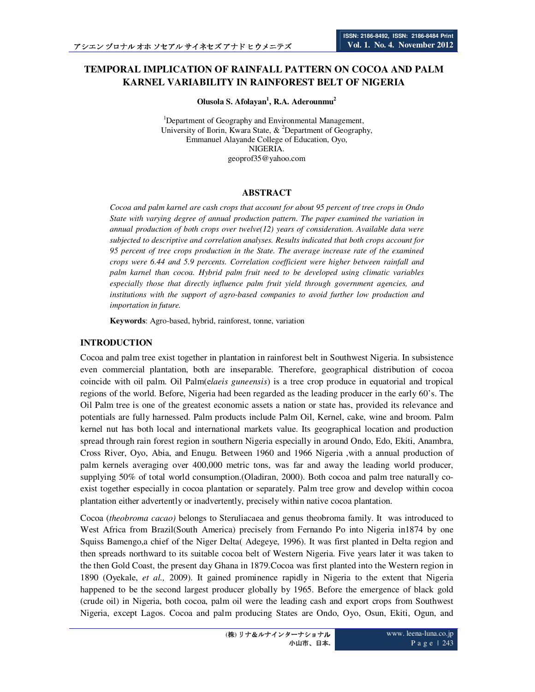# **TEMPORAL IMPLICATION OF RAINFALL PATTERN ON COCOA AND PALM KARNEL VARIABILITY IN RAINFOREST BELT OF NIGERIA**

**Olusola S. Afolayan<sup>1</sup> , R.A. Aderounmu<sup>2</sup>**

<sup>1</sup>Department of Geography and Environmental Management, University of Ilorin, Kwara State,  $\&$  <sup>2</sup>Department of Geography, Emmanuel Alayande College of Education, Oyo, NIGERIA. geoprof35@yahoo.com

## **ABSTRACT**

*Cocoa and palm karnel are cash crops that account for about 95 percent of tree crops in Ondo State with varying degree of annual production pattern. The paper examined the variation in annual production of both crops over twelve(12) years of consideration. Available data were subjected to descriptive and correlation analyses. Results indicated that both crops account for 95 percent of tree crops production in the State. The average increase rate of the examined crops were 6.44 and 5.9 percents. Correlation coefficient were higher between rainfall and palm karnel than cocoa. Hybrid palm fruit need to be developed using climatic variables especially those that directly influence palm fruit yield through government agencies, and institutions with the support of agro-based companies to avoid further low production and importation in future.* 

**Keywords**: Agro-based, hybrid, rainforest, tonne, variation

## **INTRODUCTION**

Cocoa and palm tree exist together in plantation in rainforest belt in Southwest Nigeria. In subsistence even commercial plantation, both are inseparable. Therefore, geographical distribution of cocoa coincide with oil palm. Oil Palm(e*laeis guneensis*) is a tree crop produce in equatorial and tropical regions of the world. Before, Nigeria had been regarded as the leading producer in the early 60's. The Oil Palm tree is one of the greatest economic assets a nation or state has, provided its relevance and potentials are fully harnessed. Palm products include Palm Oil, Kernel, cake, wine and broom. Palm kernel nut has both local and international markets value. Its geographical location and production spread through rain forest region in southern Nigeria especially in around Ondo, Edo, Ekiti, Anambra, Cross River, Oyo, Abia, and Enugu. Between 1960 and 1966 Nigeria ,with a annual production of palm kernels averaging over 400,000 metric tons, was far and away the leading world producer, supplying 50% of total world consumption.(Oladiran, 2000). Both cocoa and palm tree naturally coexist together especially in cocoa plantation or separately. Palm tree grow and develop within cocoa plantation either advertently or inadvertently, precisely within native cocoa plantation.

Cocoa (*theobroma cacao)* belongs to Steruliacaea and genus theobroma family. It was introduced to West Africa from Brazil(South America) precisely from Fernando Po into Nigeria in1874 by one Squiss Bamengo,a chief of the Niger Delta( Adegeye, 1996). It was first planted in Delta region and then spreads northward to its suitable cocoa belt of Western Nigeria. Five years later it was taken to the then Gold Coast, the present day Ghana in 1879.Cocoa was first planted into the Western region in 1890 (Oyekale, *et al.,* 2009). It gained prominence rapidly in Nigeria to the extent that Nigeria happened to be the second largest producer globally by 1965. Before the emergence of black gold (crude oil) in Nigeria, both cocoa, palm oil were the leading cash and export crops from Southwest Nigeria, except Lagos. Cocoa and palm producing States are Ondo, Oyo, Osun, Ekiti, Ogun, and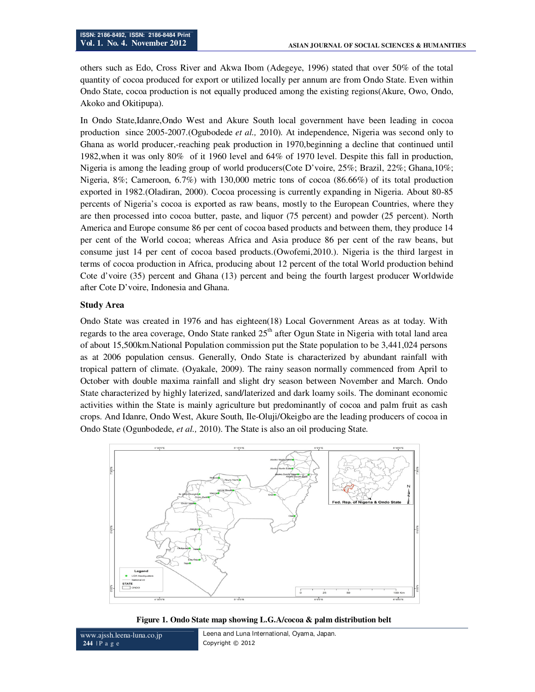others such as Edo, Cross River and Akwa Ibom (Adegeye, 1996) stated that over 50% of the total quantity of cocoa produced for export or utilized locally per annum are from Ondo State. Even within Ondo State, cocoa production is not equally produced among the existing regions(Akure, Owo, Ondo, Akoko and Okitipupa).

In Ondo State,Idanre,Ondo West and Akure South local government have been leading in cocoa production since 2005-2007.(Ogubodede *et al.,* 2010). At independence, Nigeria was second only to Ghana as world producer,-reaching peak production in 1970,beginning a decline that continued until 1982,when it was only 80% of it 1960 level and 64% of 1970 level. Despite this fall in production, Nigeria is among the leading group of world producers(Cote D'voire, 25%; Brazil, 22%; Ghana,10%; Nigeria, 8%; Cameroon, 6.7%) with 130,000 metric tons of cocoa (86.66%) of its total production exported in 1982.(Oladiran, 2000). Cocoa processing is currently expanding in Nigeria. About 80-85 percents of Nigeria's cocoa is exported as raw beans, mostly to the European Countries, where they are then processed into cocoa butter, paste, and liquor (75 percent) and powder (25 percent). North America and Europe consume 86 per cent of cocoa based products and between them, they produce 14 per cent of the World cocoa; whereas Africa and Asia produce 86 per cent of the raw beans, but consume just 14 per cent of cocoa based products.(Owofemi,2010.). Nigeria is the third largest in terms of cocoa production in Africa, producing about 12 percent of the total World production behind Cote d'voire (35) percent and Ghana (13) percent and being the fourth largest producer Worldwide after Cote D'voire, Indonesia and Ghana.

### **Study Area**

Ondo State was created in 1976 and has eighteen(18) Local Government Areas as at today. With regards to the area coverage, Ondo State ranked  $25<sup>th</sup>$  after Ogun State in Nigeria with total land area of about 15,500km.National Population commission put the State population to be 3,441,024 persons as at 2006 population census. Generally, Ondo State is characterized by abundant rainfall with tropical pattern of climate. (Oyakale, 2009). The rainy season normally commenced from April to October with double maxima rainfall and slight dry season between November and March. Ondo State characterized by highly laterized, sand/laterized and dark loamy soils. The dominant economic activities within the State is mainly agriculture but predominantly of cocoa and palm fruit as cash crops. And Idanre, Ondo West, Akure South, Ile-Oluji/Okeigbo are the leading producers of cocoa in Ondo State (Ogunbodede, *et al.,* 2010). The State is also an oil producing State.



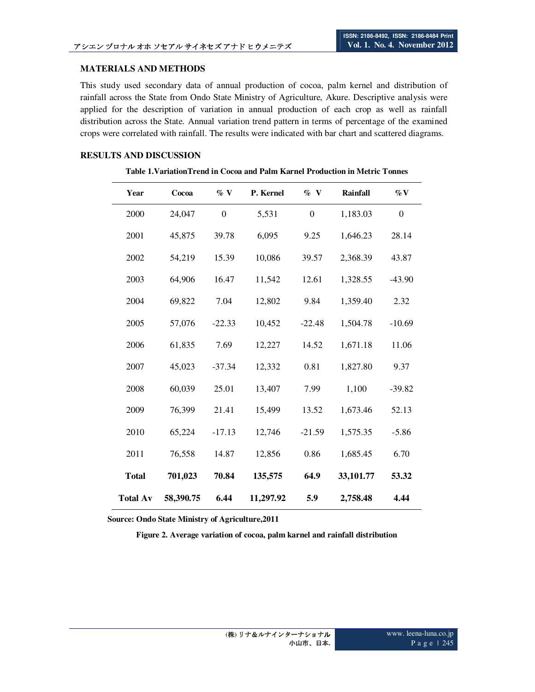#### **MATERIALS AND METHODS**

This study used secondary data of annual production of cocoa, palm kernel and distribution of rainfall across the State from Ondo State Ministry of Agriculture, Akure. Descriptive analysis were applied for the description of variation in annual production of each crop as well as rainfall distribution across the State. Annual variation trend pattern in terms of percentage of the examined crops were correlated with rainfall. The results were indicated with bar chart and scattered diagrams.

#### **RESULTS AND DISCUSSION**

## **Table 1.VariationTrend in Cocoa and Palm Karnel Production in Metric Tonnes**

| Year            | Cocoa     | $\%$ V           | P. Kernel | $\%$ V       | <b>Rainfall</b> | $\%$ V           |
|-----------------|-----------|------------------|-----------|--------------|-----------------|------------------|
| 2000            | 24,047    | $\boldsymbol{0}$ | 5,531     | $\mathbf{0}$ | 1,183.03        | $\boldsymbol{0}$ |
| 2001            | 45,875    | 39.78            | 6,095     | 9.25         | 1,646.23        | 28.14            |
| 2002            | 54,219    | 15.39            | 10,086    | 39.57        | 2,368.39        | 43.87            |
| 2003            | 64,906    | 16.47            | 11,542    | 12.61        | 1,328.55        | $-43.90$         |
| 2004            | 69,822    | 7.04             | 12,802    | 9.84         | 1,359.40        | 2.32             |
| 2005            | 57,076    | $-22.33$         | 10,452    | $-22.48$     | 1,504.78        | $-10.69$         |
| 2006            | 61,835    | 7.69             | 12,227    | 14.52        | 1,671.18        | 11.06            |
| 2007            | 45,023    | $-37.34$         | 12,332    | 0.81         | 1,827.80        | 9.37             |
| 2008            | 60,039    | 25.01            | 13,407    | 7.99         | 1,100           | $-39.82$         |
| 2009            | 76,399    | 21.41            | 15,499    | 13.52        | 1,673.46        | 52.13            |
| 2010            | 65,224    | $-17.13$         | 12,746    | $-21.59$     | 1,575.35        | $-5.86$          |
| 2011            | 76,558    | 14.87            | 12,856    | 0.86         | 1,685.45        | 6.70             |
| <b>Total</b>    | 701,023   | 70.84            | 135,575   | 64.9         | 33,101.77       | 53.32            |
| <b>Total Av</b> | 58,390.75 | 6.44             | 11,297.92 | 5.9          | 2,758.48        | 4.44             |

 **Source: Ondo State Ministry of Agriculture,2011**

**Figure 2. Average variation of cocoa, palm karnel and rainfall distribution**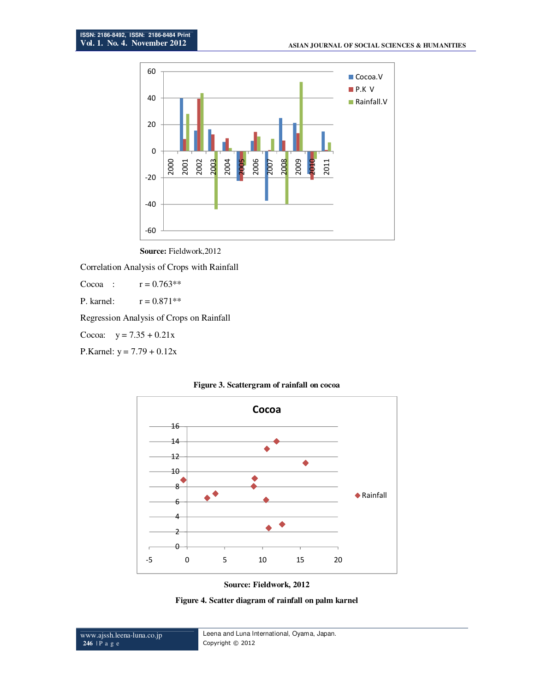



Correlation Analysis of Crops with Rainfall

Cocoa :  $r = 0.763***$ 

P. karnel:  $r = 0.871**$ 

Regression Analysis of Crops on Rainfall

Cocoa:  $y = 7.35 + 0.21x$ 

P.Karnel:  $y = 7.79 + 0.12x$ 





**Source: Fieldwork, 2012** 

**Figure 4. Scatter diagram of rainfall on palm karnel**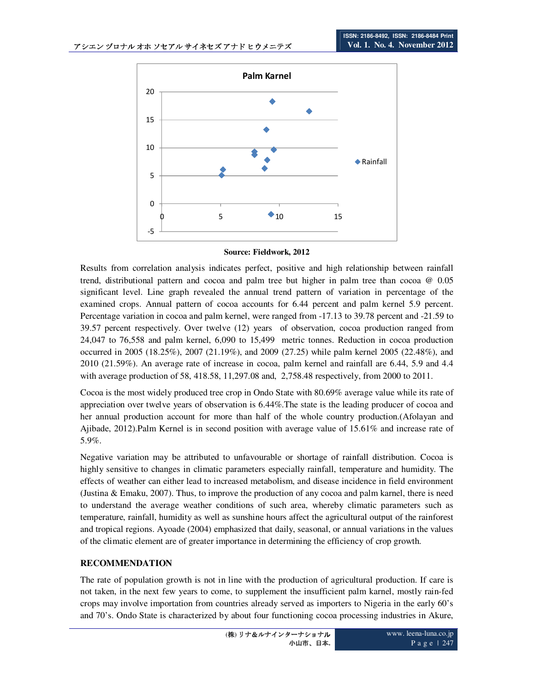

**Source: Fieldwork, 2012** 

Results from correlation analysis indicates perfect, positive and high relationship between rainfall trend, distributional pattern and cocoa and palm tree but higher in palm tree than cocoa @ 0.05 significant level. Line graph revealed the annual trend pattern of variation in percentage of the examined crops. Annual pattern of cocoa accounts for 6.44 percent and palm kernel 5.9 percent. Percentage variation in cocoa and palm kernel, were ranged from -17.13 to 39.78 percent and -21.59 to 39.57 percent respectively. Over twelve (12) years of observation, cocoa production ranged from 24,047 to 76,558 and palm kernel, 6,090 to 15,499 metric tonnes. Reduction in cocoa production occurred in 2005 (18.25%), 2007 (21.19%), and 2009 (27.25) while palm kernel 2005 (22.48%), and 2010 (21.59%). An average rate of increase in cocoa, palm kernel and rainfall are 6.44, 5.9 and 4.4 with average production of 58, 418.58, 11,297.08 and, 2,758.48 respectively, from 2000 to 2011.

Cocoa is the most widely produced tree crop in Ondo State with 80.69% average value while its rate of appreciation over twelve years of observation is 6.44%.The state is the leading producer of cocoa and her annual production account for more than half of the whole country production.(Afolayan and Ajibade, 2012).Palm Kernel is in second position with average value of 15.61% and increase rate of 5.9%.

Negative variation may be attributed to unfavourable or shortage of rainfall distribution. Cocoa is highly sensitive to changes in climatic parameters especially rainfall, temperature and humidity. The effects of weather can either lead to increased metabolism, and disease incidence in field environment (Justina & Emaku, 2007). Thus, to improve the production of any cocoa and palm karnel, there is need to understand the average weather conditions of such area, whereby climatic parameters such as temperature, rainfall, humidity as well as sunshine hours affect the agricultural output of the rainforest and tropical regions. Ayoade (2004) emphasized that daily, seasonal, or annual variations in the values of the climatic element are of greater importance in determining the efficiency of crop growth.

## **RECOMMENDATION**

The rate of population growth is not in line with the production of agricultural production. If care is not taken, in the next few years to come, to supplement the insufficient palm karnel, mostly rain-fed crops may involve importation from countries already served as importers to Nigeria in the early 60's and 70's. Ondo State is characterized by about four functioning cocoa processing industries in Akure,